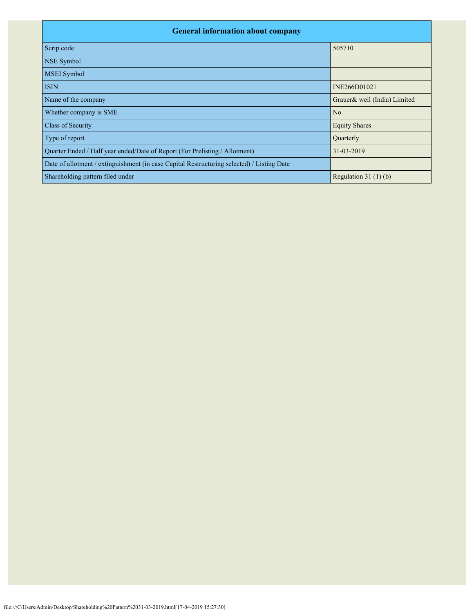| <b>General information about company</b>                                                   |                              |  |  |  |  |  |  |
|--------------------------------------------------------------------------------------------|------------------------------|--|--|--|--|--|--|
| Scrip code                                                                                 | 505710                       |  |  |  |  |  |  |
| <b>NSE</b> Symbol                                                                          |                              |  |  |  |  |  |  |
| MSEI Symbol                                                                                |                              |  |  |  |  |  |  |
| <b>ISIN</b>                                                                                | INE266D01021                 |  |  |  |  |  |  |
| Name of the company                                                                        | Grauer& weil (India) Limited |  |  |  |  |  |  |
| Whether company is SME                                                                     | N <sub>o</sub>               |  |  |  |  |  |  |
| Class of Security                                                                          | <b>Equity Shares</b>         |  |  |  |  |  |  |
| Type of report                                                                             | Quarterly                    |  |  |  |  |  |  |
| Quarter Ended / Half year ended/Date of Report (For Prelisting / Allotment)                | 31-03-2019                   |  |  |  |  |  |  |
| Date of allotment / extinguishment (in case Capital Restructuring selected) / Listing Date |                              |  |  |  |  |  |  |
| Shareholding pattern filed under                                                           | Regulation $31(1)(b)$        |  |  |  |  |  |  |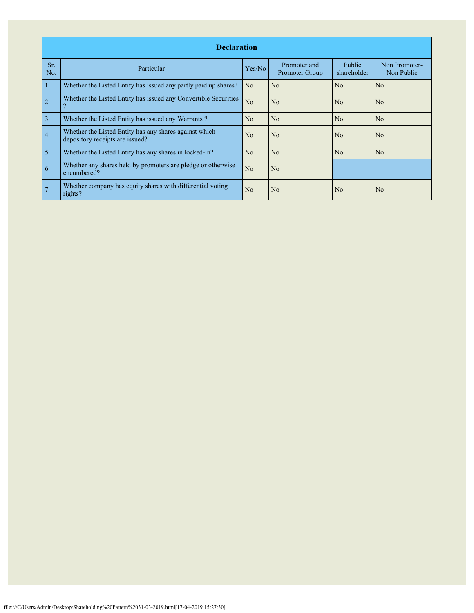|                | <b>Declaration</b>                                                                        |                |                                |                       |                             |  |  |  |  |  |  |
|----------------|-------------------------------------------------------------------------------------------|----------------|--------------------------------|-----------------------|-----------------------------|--|--|--|--|--|--|
| Sr.<br>No.     | Particular                                                                                | Yes/No         | Promoter and<br>Promoter Group | Public<br>shareholder | Non Promoter-<br>Non Public |  |  |  |  |  |  |
| 1              | Whether the Listed Entity has issued any partly paid up shares?                           | N <sub>o</sub> | No                             | No                    | No                          |  |  |  |  |  |  |
| $\overline{2}$ | Whether the Listed Entity has issued any Convertible Securities<br>9                      | N <sub>o</sub> | N <sub>o</sub>                 | No                    | N <sub>o</sub>              |  |  |  |  |  |  |
| $\overline{3}$ | Whether the Listed Entity has issued any Warrants?                                        | N <sub>o</sub> | N <sub>o</sub>                 | N <sub>o</sub>        | N <sub>o</sub>              |  |  |  |  |  |  |
| $\overline{4}$ | Whether the Listed Entity has any shares against which<br>depository receipts are issued? | N <sub>0</sub> | N <sub>o</sub>                 | N <sub>0</sub>        | N <sub>0</sub>              |  |  |  |  |  |  |
| $\overline{5}$ | Whether the Listed Entity has any shares in locked-in?                                    | N <sub>o</sub> | N <sub>o</sub>                 | No                    | N <sub>o</sub>              |  |  |  |  |  |  |
| 6              | Whether any shares held by promoters are pledge or otherwise<br>encumbered?               | N <sub>o</sub> | N <sub>o</sub>                 |                       |                             |  |  |  |  |  |  |
|                | Whether company has equity shares with differential voting<br>rights?                     | N <sub>o</sub> | No                             | N <sub>0</sub>        | N <sub>o</sub>              |  |  |  |  |  |  |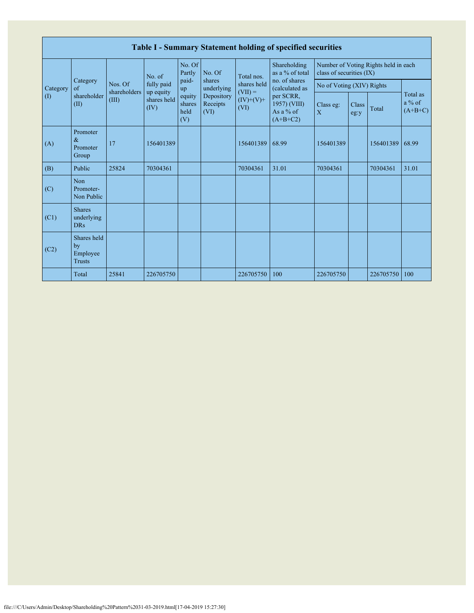|                            | Table I - Summary Statement holding of specified securities |                         |                         |                                                |                                                         |                          |                                                        |                                      |                      |           |                                   |  |  |  |
|----------------------------|-------------------------------------------------------------|-------------------------|-------------------------|------------------------------------------------|---------------------------------------------------------|--------------------------|--------------------------------------------------------|--------------------------------------|----------------------|-----------|-----------------------------------|--|--|--|
|                            | Category<br>of<br>shareholder<br>(II)                       |                         | No. of                  | No. Of<br>Partly                               | Shareholding<br>No. Of<br>as a % of total<br>Total nos. |                          | class of securities (IX)                               | Number of Voting Rights held in each |                      |           |                                   |  |  |  |
| Category                   |                                                             | Nos. Of<br>shareholders | fully paid<br>up equity | paid-<br>up<br>equity<br>shares<br>held<br>(V) | shares<br>underlying<br>Depository<br>Receipts<br>(VI)  | shares held<br>$(VII) =$ | no. of shares<br>(calculated as                        | No of Voting (XIV) Rights            |                      |           |                                   |  |  |  |
| $\left( \mathrm{I}\right)$ |                                                             | (III)                   | shares held<br>(IV)     |                                                |                                                         | $(IV)+(V)+$<br>(VI)      | per SCRR,<br>1957) (VIII)<br>As a $%$ of<br>$(A+B+C2)$ | Class eg:<br>X                       | <b>Class</b><br>eg:y | Total     | Total as<br>$a\%$ of<br>$(A+B+C)$ |  |  |  |
| (A)                        | Promoter<br>$\&$<br>Promoter<br>Group                       | 17                      | 156401389               |                                                |                                                         | 156401389                | 68.99                                                  | 156401389                            |                      | 156401389 | 68.99                             |  |  |  |
| (B)                        | Public                                                      | 25824                   | 70304361                |                                                |                                                         | 70304361                 | 31.01                                                  | 70304361                             |                      | 70304361  | 31.01                             |  |  |  |
| (C)                        | Non<br>Promoter-<br>Non Public                              |                         |                         |                                                |                                                         |                          |                                                        |                                      |                      |           |                                   |  |  |  |
| (C1)                       | <b>Shares</b><br>underlying<br><b>DRs</b>                   |                         |                         |                                                |                                                         |                          |                                                        |                                      |                      |           |                                   |  |  |  |
| (C2)                       | Shares held<br>by<br>Employee<br><b>Trusts</b>              |                         |                         |                                                |                                                         |                          |                                                        |                                      |                      |           |                                   |  |  |  |
|                            | Total                                                       | 25841                   | 226705750               |                                                |                                                         | 226705750                | 100                                                    | 226705750                            |                      | 226705750 | 100                               |  |  |  |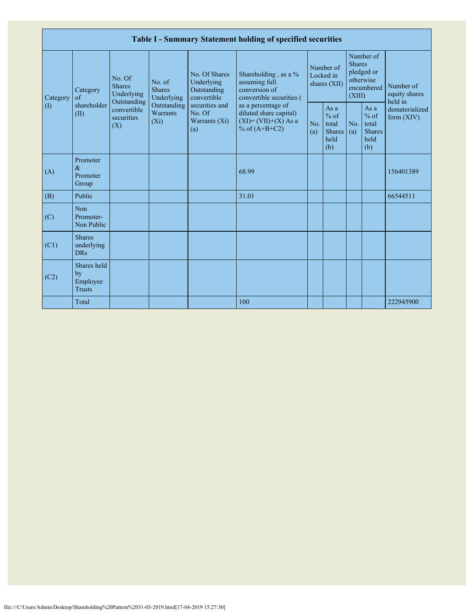|                 |                                                |                                                      |                                       |                                                           | Table I - Summary Statement holding of specified securities                              |            |                                                         |                         |                                                         |                                                                         |
|-----------------|------------------------------------------------|------------------------------------------------------|---------------------------------------|-----------------------------------------------------------|------------------------------------------------------------------------------------------|------------|---------------------------------------------------------|-------------------------|---------------------------------------------------------|-------------------------------------------------------------------------|
| Category<br>(1) | Category<br>of<br>shareholder<br>(II)          | No. Of<br><b>Shares</b><br>Underlying<br>Outstanding | No. of<br><b>Shares</b><br>Underlying | No. Of Shares<br>Underlying<br>Outstanding<br>convertible | Shareholding, as a %<br>assuming full<br>conversion of<br>convertible securities (       |            | Number of<br>Locked in<br>shares (XII)                  | <b>Shares</b><br>(XIII) | Number of<br>pledged or<br>otherwise<br>encumbered      | Number of<br>equity shares<br>held in<br>dematerialized<br>form $(XIV)$ |
|                 |                                                | convertible<br>securities<br>(X)                     | Outstanding<br>Warrants<br>$(X_i)$    | securities and<br>No. Of<br>Warrants $(X_i)$<br>(a)       | as a percentage of<br>diluted share capital)<br>$(XI)=(VII)+(X) As a$<br>% of $(A+B+C2)$ | No.<br>(a) | As a<br>$%$ of<br>total<br><b>Shares</b><br>held<br>(b) | No.<br>(a)              | As a<br>$%$ of<br>total<br><b>Shares</b><br>held<br>(b) |                                                                         |
| (A)             | Promoter<br>$\&$<br>Promoter<br>Group          |                                                      |                                       |                                                           | 68.99                                                                                    |            |                                                         |                         |                                                         | 156401389                                                               |
| (B)             | Public                                         |                                                      |                                       |                                                           | 31.01                                                                                    |            |                                                         |                         |                                                         | 66544511                                                                |
| (C)             | Non<br>Promoter-<br>Non Public                 |                                                      |                                       |                                                           |                                                                                          |            |                                                         |                         |                                                         |                                                                         |
| (C1)            | <b>Shares</b><br>underlying<br><b>DRs</b>      |                                                      |                                       |                                                           |                                                                                          |            |                                                         |                         |                                                         |                                                                         |
| (C2)            | Shares held<br>by<br>Employee<br><b>Trusts</b> |                                                      |                                       |                                                           |                                                                                          |            |                                                         |                         |                                                         |                                                                         |
|                 | Total                                          |                                                      |                                       |                                                           | 100                                                                                      |            |                                                         |                         |                                                         | 222945900                                                               |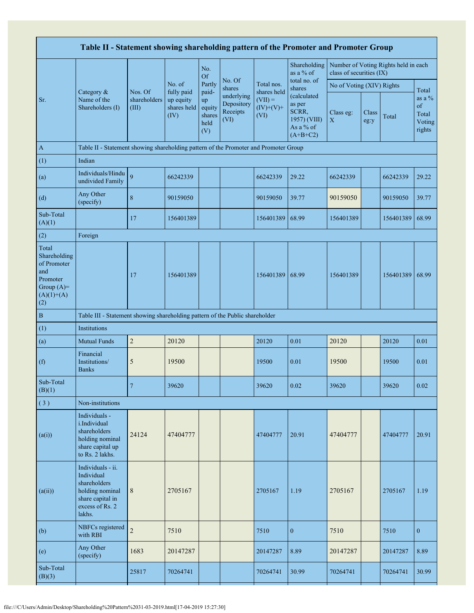| Table II - Statement showing shareholding pattern of the Promoter and Promoter Group           |                                                                                                                     |                                  |                                                |                                                |                                              |                                  |                                                                           |                           |               |                                      |                                             |
|------------------------------------------------------------------------------------------------|---------------------------------------------------------------------------------------------------------------------|----------------------------------|------------------------------------------------|------------------------------------------------|----------------------------------------------|----------------------------------|---------------------------------------------------------------------------|---------------------------|---------------|--------------------------------------|---------------------------------------------|
|                                                                                                |                                                                                                                     |                                  |                                                | No.<br><b>Of</b>                               |                                              |                                  | Shareholding<br>as a % of                                                 | class of securities (IX)  |               | Number of Voting Rights held in each |                                             |
|                                                                                                | Category &<br>Name of the<br>Shareholders (I)                                                                       |                                  | No. of                                         | Partly                                         | No. Of<br>shares                             | Total nos.<br>shares held        | total no. of<br>shares                                                    | No of Voting (XIV) Rights |               |                                      | Total                                       |
| Sr.                                                                                            |                                                                                                                     | Nos. Of<br>shareholders<br>(III) | fully paid<br>up equity<br>shares held<br>(IV) | paid-<br>up<br>equity<br>shares<br>held<br>(V) | underlying<br>Depository<br>Receipts<br>(VI) | $(VII) =$<br>$(IV)+(V)+$<br>(VI) | (calculated<br>as per<br>SCRR,<br>1957) (VIII)<br>As a % of<br>$(A+B+C2)$ | Class eg:<br>$\mathbf X$  | Class<br>eg:y | Total                                | as a $%$<br>of<br>Total<br>Voting<br>rights |
| $\mathbf{A}$                                                                                   | Table II - Statement showing shareholding pattern of the Promoter and Promoter Group                                |                                  |                                                |                                                |                                              |                                  |                                                                           |                           |               |                                      |                                             |
| (1)                                                                                            | Indian                                                                                                              |                                  |                                                |                                                |                                              |                                  |                                                                           |                           |               |                                      |                                             |
| (a)                                                                                            | Individuals/Hindu<br>undivided Family                                                                               | 9                                | 66242339                                       |                                                |                                              | 66242339                         | 29.22                                                                     | 66242339                  |               | 66242339                             | 29.22                                       |
| (d)                                                                                            | Any Other<br>(specify)                                                                                              | 8                                | 90159050                                       |                                                |                                              | 90159050                         | 39.77                                                                     | 90159050                  |               | 90159050                             | 39.77                                       |
| Sub-Total<br>(A)(1)                                                                            |                                                                                                                     | 17                               | 156401389                                      |                                                |                                              | 156401389                        | 68.99                                                                     | 156401389                 |               | 156401389 68.99                      |                                             |
| (2)                                                                                            | Foreign                                                                                                             |                                  |                                                |                                                |                                              |                                  |                                                                           |                           |               |                                      |                                             |
| Total<br>Shareholding<br>of Promoter<br>and<br>Promoter<br>Group $(A)=$<br>$(A)(1)+(A)$<br>(2) |                                                                                                                     | 17                               | 156401389                                      |                                                |                                              | 156401389                        | 68.99                                                                     | 156401389                 |               | 156401389 68.99                      |                                             |
| $\, {\bf B}$                                                                                   | Table III - Statement showing shareholding pattern of the Public shareholder                                        |                                  |                                                |                                                |                                              |                                  |                                                                           |                           |               |                                      |                                             |
| (1)                                                                                            | Institutions                                                                                                        |                                  |                                                |                                                |                                              |                                  |                                                                           |                           |               |                                      |                                             |
| (a)                                                                                            | <b>Mutual Funds</b>                                                                                                 | $\sqrt{2}$                       | 20120                                          |                                                |                                              | 20120                            | 0.01                                                                      | 20120                     |               | 20120                                | 0.01                                        |
| (f)                                                                                            | Financial<br>Institutions/<br><b>Banks</b>                                                                          | 5                                | 19500                                          |                                                |                                              | 19500                            | 0.01                                                                      | 19500                     |               | 19500                                | 0.01                                        |
| Sub-Total<br>(B)(1)                                                                            |                                                                                                                     |                                  | 39620                                          |                                                |                                              | 39620                            | 0.02                                                                      | 39620                     |               | 39620                                | 0.02                                        |
| (3)                                                                                            | Non-institutions                                                                                                    |                                  |                                                |                                                |                                              |                                  |                                                                           |                           |               |                                      |                                             |
| (a(i))                                                                                         | Individuals -<br>i.Individual<br>shareholders<br>holding nominal<br>share capital up<br>to Rs. 2 lakhs.             | 24124                            | 47404777                                       |                                                |                                              | 47404777                         | 20.91                                                                     | 47404777                  |               | 47404777                             | 20.91                                       |
| (a(ii))                                                                                        | Individuals - ii.<br>Individual<br>shareholders<br>holding nominal<br>share capital in<br>excess of Rs. 2<br>lakhs. | 8                                | 2705167                                        |                                                |                                              | 2705167                          | 1.19                                                                      | 2705167                   |               | 2705167                              | 1.19                                        |
| (b)                                                                                            | NBFCs registered<br>with RBI                                                                                        | $\overline{c}$                   | 7510                                           |                                                |                                              | 7510                             | $\mathbf{0}$                                                              | 7510                      |               | 7510                                 | $\boldsymbol{0}$                            |
| (e)                                                                                            | Any Other<br>(specify)                                                                                              | 1683                             | 20147287                                       |                                                |                                              | 20147287                         | 8.89                                                                      | 20147287                  |               | 20147287                             | 8.89                                        |
| Sub-Total<br>(B)(3)                                                                            |                                                                                                                     | 25817                            | 70264741                                       |                                                |                                              | 70264741                         | 30.99                                                                     | 70264741                  |               | 70264741                             | 30.99                                       |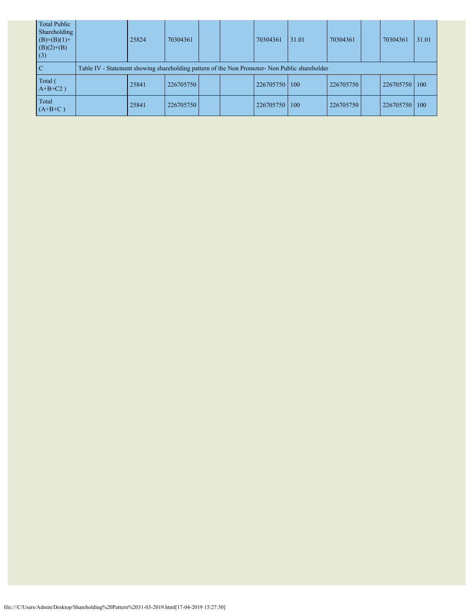| <b>Total Public</b><br>Shareholding<br>$(B)=(B)(1)+$<br>$(B)(2)+(B)$<br>(3) | 25824                                                                                         | 70304361  |  |  | 70304361  | 31.01 | 70304361  |  | 70304361  | 31.01 |  |
|-----------------------------------------------------------------------------|-----------------------------------------------------------------------------------------------|-----------|--|--|-----------|-------|-----------|--|-----------|-------|--|
| <sup>-</sup> C                                                              | Table IV - Statement showing shareholding pattern of the Non Promoter- Non Public shareholder |           |  |  |           |       |           |  |           |       |  |
| Total (<br>$A+B+C2$ )                                                       | 25841                                                                                         | 226705750 |  |  | 226705750 | 100   | 226705750 |  | 226705750 | 100   |  |
| Total<br>$(A+B+C)$                                                          | 25841                                                                                         | 226705750 |  |  | 226705750 | 100   | 226705750 |  | 226705750 | 100   |  |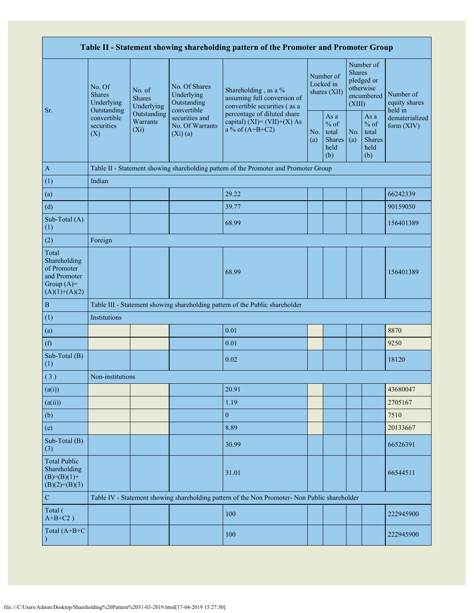| Table II - Statement showing shareholding pattern of the Promoter and Promoter Group    |                                                 |                                                                                                   |                                            |                                                                                               |                                        |                                                  |                                                                               |                                                         |                                       |  |  |
|-----------------------------------------------------------------------------------------|-------------------------------------------------|---------------------------------------------------------------------------------------------------|--------------------------------------------|-----------------------------------------------------------------------------------------------|----------------------------------------|--------------------------------------------------|-------------------------------------------------------------------------------|---------------------------------------------------------|---------------------------------------|--|--|
|                                                                                         | No. Of<br><b>Shares</b><br>Underlying           | No. of<br><b>Shares</b><br>Underlying                                                             | No. Of Shares<br>Underlying<br>Outstanding | Shareholding, as a %<br>assuming full conversion of<br>convertible securities (as a           | Number of<br>Locked in<br>shares (XII) |                                                  | Number of<br><b>Shares</b><br>pledged or<br>otherwise<br>encumbered<br>(XIII) |                                                         | Number of<br>equity shares<br>held in |  |  |
| Sr.                                                                                     | Outstanding<br>convertible<br>securities<br>(X) | convertible<br>Outstanding<br>securities and<br>Warrants<br>No. Of Warrants<br>$(X_i)$<br>(Xi)(a) |                                            | percentage of diluted share<br>capital) $(XI) = (VII)+(X) As$<br>a % of $(A+B+C2)$<br>(a)     |                                        | As a<br>$%$ of<br>total<br>Shares<br>held<br>(b) | No.<br>(a)                                                                    | As a<br>$%$ of<br>total<br><b>Shares</b><br>held<br>(b) | dematerialized<br>form (XIV)          |  |  |
| $\mathbf{A}$                                                                            |                                                 |                                                                                                   |                                            | Table II - Statement showing shareholding pattern of the Promoter and Promoter Group          |                                        |                                                  |                                                                               |                                                         |                                       |  |  |
| (1)                                                                                     | Indian                                          |                                                                                                   |                                            |                                                                                               |                                        |                                                  |                                                                               |                                                         |                                       |  |  |
| (a)                                                                                     |                                                 |                                                                                                   |                                            | 29.22                                                                                         |                                        |                                                  |                                                                               |                                                         | 66242339                              |  |  |
| (d)                                                                                     |                                                 |                                                                                                   |                                            | 39.77                                                                                         |                                        |                                                  |                                                                               |                                                         | 90159050                              |  |  |
| Sub-Total (A)<br>(1)                                                                    |                                                 |                                                                                                   |                                            | 68.99                                                                                         |                                        |                                                  |                                                                               |                                                         | 156401389                             |  |  |
| (2)                                                                                     | Foreign                                         |                                                                                                   |                                            |                                                                                               |                                        |                                                  |                                                                               |                                                         |                                       |  |  |
| Total<br>Shareholding<br>of Promoter<br>and Promoter<br>Group $(A)=$<br>$(A)(1)+(A)(2)$ |                                                 |                                                                                                   |                                            | 68.99                                                                                         |                                        |                                                  |                                                                               |                                                         | 156401389                             |  |  |
| $\, {\bf B}$                                                                            |                                                 |                                                                                                   |                                            | Table III - Statement showing shareholding pattern of the Public shareholder                  |                                        |                                                  |                                                                               |                                                         |                                       |  |  |
| (1)                                                                                     | Institutions                                    |                                                                                                   |                                            |                                                                                               |                                        |                                                  |                                                                               |                                                         |                                       |  |  |
| (a)                                                                                     |                                                 |                                                                                                   |                                            | 0.01                                                                                          |                                        |                                                  |                                                                               |                                                         | 8870                                  |  |  |
| (f)                                                                                     |                                                 |                                                                                                   |                                            | 0.01                                                                                          |                                        |                                                  |                                                                               |                                                         | 9250                                  |  |  |
| Sub-Total (B)<br>(1)                                                                    |                                                 |                                                                                                   |                                            | 0.02                                                                                          |                                        |                                                  |                                                                               |                                                         | 18120                                 |  |  |
| (3)                                                                                     | Non-institutions                                |                                                                                                   |                                            |                                                                                               |                                        |                                                  |                                                                               |                                                         |                                       |  |  |
| (a(i))                                                                                  |                                                 |                                                                                                   |                                            | 20.91                                                                                         |                                        |                                                  |                                                                               |                                                         | 43680047                              |  |  |
| (a(ii))                                                                                 |                                                 |                                                                                                   |                                            | 1.19                                                                                          |                                        |                                                  |                                                                               |                                                         | 2705167                               |  |  |
| (b)                                                                                     |                                                 |                                                                                                   |                                            | $\overline{0}$                                                                                |                                        |                                                  |                                                                               |                                                         | 7510                                  |  |  |
| (e)                                                                                     |                                                 |                                                                                                   |                                            | 8.89                                                                                          |                                        |                                                  |                                                                               |                                                         | 20133667                              |  |  |
| Sub-Total (B)<br>(3)                                                                    |                                                 |                                                                                                   |                                            | 30.99                                                                                         |                                        |                                                  |                                                                               |                                                         | 66526391                              |  |  |
| <b>Total Public</b><br>Shareholding<br>$(B)= (B)(1) +$<br>$(B)(2)+(B)(3)$               |                                                 |                                                                                                   |                                            | 31.01                                                                                         |                                        |                                                  |                                                                               |                                                         | 66544511                              |  |  |
| ${\bf C}$                                                                               |                                                 |                                                                                                   |                                            | Table IV - Statement showing shareholding pattern of the Non Promoter- Non Public shareholder |                                        |                                                  |                                                                               |                                                         |                                       |  |  |
| Total (<br>$A+B+C2$ )                                                                   |                                                 |                                                                                                   |                                            | 100                                                                                           |                                        |                                                  |                                                                               |                                                         | 222945900                             |  |  |
| Total (A+B+C                                                                            |                                                 |                                                                                                   |                                            | 100                                                                                           |                                        |                                                  |                                                                               |                                                         | 222945900                             |  |  |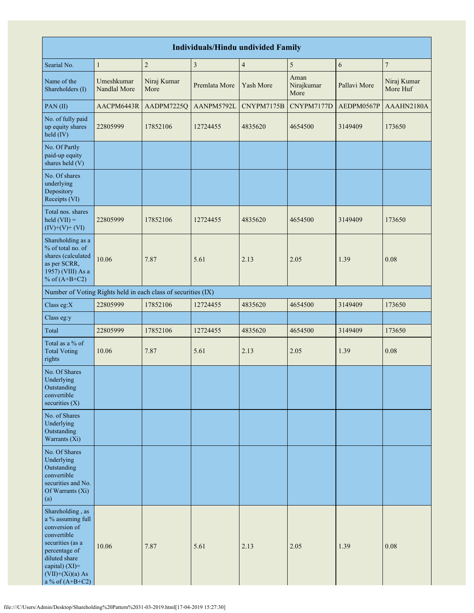| <b>Individuals/Hindu undivided Family</b>                                                                                                                                                |                            |                                                               |                         |                          |                            |              |                         |  |  |  |  |  |
|------------------------------------------------------------------------------------------------------------------------------------------------------------------------------------------|----------------------------|---------------------------------------------------------------|-------------------------|--------------------------|----------------------------|--------------|-------------------------|--|--|--|--|--|
| Searial No.                                                                                                                                                                              | $\mathbf{1}$               | $\sqrt{2}$                                                    | $\overline{\mathbf{3}}$ | $\overline{\mathcal{A}}$ | 5                          | 6            | 7                       |  |  |  |  |  |
| Name of the<br>Shareholders (I)                                                                                                                                                          | Umeshkumar<br>Nandlal More | Niraj Kumar<br>More                                           | Premlata More           | Yash More                | Aman<br>Nirajkumar<br>More | Pallavi More | Niraj Kumar<br>More Huf |  |  |  |  |  |
| PAN(II)                                                                                                                                                                                  | AACPM6443R                 | AADPM7225Q                                                    | AANPM5792L              | CNYPM7175B               | CNYPM7177D                 | AEDPM0567P   | AAAHN2180A              |  |  |  |  |  |
| No. of fully paid<br>up equity shares<br>held (IV)                                                                                                                                       | 22805999                   | 17852106                                                      | 12724455                | 4835620                  | 4654500                    | 3149409      | 173650                  |  |  |  |  |  |
| No. Of Partly<br>paid-up equity<br>shares held (V)                                                                                                                                       |                            |                                                               |                         |                          |                            |              |                         |  |  |  |  |  |
| No. Of shares<br>underlying<br>Depository<br>Receipts (VI)                                                                                                                               |                            |                                                               |                         |                          |                            |              |                         |  |  |  |  |  |
| Total nos. shares<br>$\text{held (VII)} =$<br>$(IV)+(V)+(VI)$                                                                                                                            | 22805999                   | 17852106                                                      | 12724455                | 4835620                  | 4654500                    | 3149409      | 173650                  |  |  |  |  |  |
| Shareholding as a<br>% of total no. of<br>shares (calculated<br>as per SCRR,<br>1957) (VIII) As a<br>% of $(A+B+C2)$                                                                     | 10.06                      | 7.87                                                          | 5.61                    | 2.13                     | 2.05                       | 1.39         | 0.08                    |  |  |  |  |  |
|                                                                                                                                                                                          |                            | Number of Voting Rights held in each class of securities (IX) |                         |                          |                            |              |                         |  |  |  |  |  |
| Class eg: $X$                                                                                                                                                                            | 22805999                   | 17852106                                                      | 12724455                | 4835620                  | 4654500                    | 3149409      | 173650                  |  |  |  |  |  |
| Class eg:y                                                                                                                                                                               |                            |                                                               |                         |                          |                            |              |                         |  |  |  |  |  |
| Total                                                                                                                                                                                    | 22805999                   | 17852106                                                      | 12724455                | 4835620                  | 4654500                    | 3149409      | 173650                  |  |  |  |  |  |
| Total as a % of<br><b>Total Voting</b><br>rights                                                                                                                                         | 10.06                      | 7.87                                                          | 5.61                    | 2.13                     | 2.05                       | 1.39         | 0.08                    |  |  |  |  |  |
| No. Of Shares<br>Underlying<br>Outstanding<br>convertible<br>securities $(X)$                                                                                                            |                            |                                                               |                         |                          |                            |              |                         |  |  |  |  |  |
| No. of Shares<br>Underlying<br>Outstanding<br>Warrants (Xi)                                                                                                                              |                            |                                                               |                         |                          |                            |              |                         |  |  |  |  |  |
| No. Of Shares<br>Underlying<br>Outstanding<br>convertible<br>securities and No.<br>Of Warrants (Xi)<br>(a)                                                                               |                            |                                                               |                         |                          |                            |              |                         |  |  |  |  |  |
| Shareholding, as<br>a % assuming full<br>conversion of<br>convertible<br>securities (as a<br>percentage of<br>diluted share<br>capital) (XI)=<br>$(VII)+(Xi)(a)$ As<br>a % of $(A+B+C2)$ | 10.06                      | 7.87                                                          | 5.61                    | 2.13                     | 2.05                       | 1.39         | 0.08                    |  |  |  |  |  |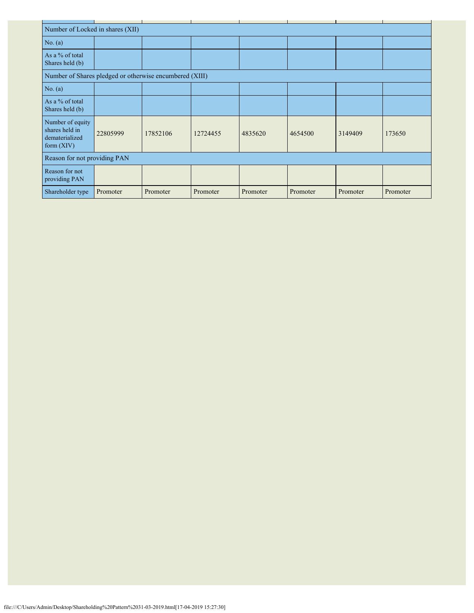| Number of Locked in shares (XII)                                     |                              |          |          |          |          |          |          |  |  |  |  |
|----------------------------------------------------------------------|------------------------------|----------|----------|----------|----------|----------|----------|--|--|--|--|
| No. $(a)$                                                            |                              |          |          |          |          |          |          |  |  |  |  |
| As a % of total<br>Shares held (b)                                   |                              |          |          |          |          |          |          |  |  |  |  |
| Number of Shares pledged or otherwise encumbered (XIII)              |                              |          |          |          |          |          |          |  |  |  |  |
| No. $(a)$                                                            |                              |          |          |          |          |          |          |  |  |  |  |
| As a % of total<br>Shares held (b)                                   |                              |          |          |          |          |          |          |  |  |  |  |
| Number of equity<br>shares held in<br>dematerialized<br>form $(XIV)$ | 22805999                     | 17852106 | 12724455 | 4835620  | 4654500  | 3149409  | 173650   |  |  |  |  |
|                                                                      | Reason for not providing PAN |          |          |          |          |          |          |  |  |  |  |
| Reason for not<br>providing PAN                                      |                              |          |          |          |          |          |          |  |  |  |  |
| Shareholder type                                                     | Promoter                     | Promoter | Promoter | Promoter | Promoter | Promoter | Promoter |  |  |  |  |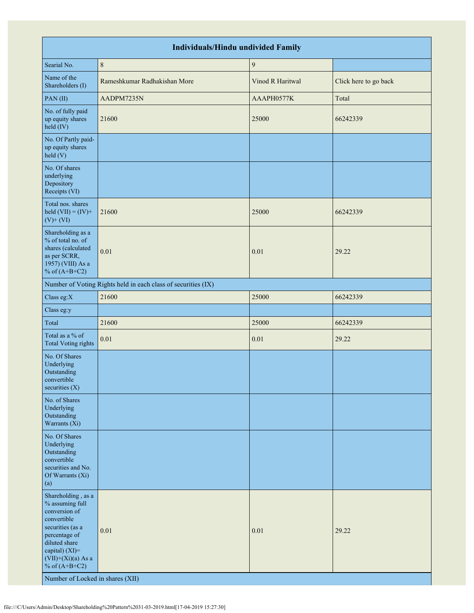| <b>Individuals/Hindu undivided Family</b>                                                                                                                                                                                    |                                                               |                  |                       |  |  |  |  |  |  |  |
|------------------------------------------------------------------------------------------------------------------------------------------------------------------------------------------------------------------------------|---------------------------------------------------------------|------------------|-----------------------|--|--|--|--|--|--|--|
| Searial No.                                                                                                                                                                                                                  | $\,8\,$                                                       | $\boldsymbol{9}$ |                       |  |  |  |  |  |  |  |
| Name of the<br>Shareholders (I)                                                                                                                                                                                              | Rameshkumar Radhakishan More                                  | Vinod R Haritwal | Click here to go back |  |  |  |  |  |  |  |
| PAN(II)                                                                                                                                                                                                                      | AADPM7235N                                                    | AAAPH0577K       | Total                 |  |  |  |  |  |  |  |
| No. of fully paid<br>up equity shares<br>held (IV)                                                                                                                                                                           | 21600                                                         | 25000            | 66242339              |  |  |  |  |  |  |  |
| No. Of Partly paid-<br>up equity shares<br>held(V)                                                                                                                                                                           |                                                               |                  |                       |  |  |  |  |  |  |  |
| No. Of shares<br>underlying<br>Depository<br>Receipts (VI)                                                                                                                                                                   |                                                               |                  |                       |  |  |  |  |  |  |  |
| Total nos. shares<br>held $(VII) = (IV) +$<br>$(V)$ + $(VI)$                                                                                                                                                                 | 21600                                                         | 25000            | 66242339              |  |  |  |  |  |  |  |
| Shareholding as a<br>% of total no. of<br>shares (calculated<br>as per SCRR,<br>1957) (VIII) As a<br>% of $(A+B+C2)$                                                                                                         | 0.01                                                          | 0.01             | 29.22                 |  |  |  |  |  |  |  |
|                                                                                                                                                                                                                              | Number of Voting Rights held in each class of securities (IX) |                  |                       |  |  |  |  |  |  |  |
| Class eg: $X$                                                                                                                                                                                                                | 21600                                                         | 25000            | 66242339              |  |  |  |  |  |  |  |
| Class eg:y                                                                                                                                                                                                                   |                                                               |                  |                       |  |  |  |  |  |  |  |
| Total                                                                                                                                                                                                                        | 21600                                                         | 25000            | 66242339              |  |  |  |  |  |  |  |
| Total as a % of<br>Total Voting rights                                                                                                                                                                                       | 0.01                                                          | $0.01\,$         | 29.22                 |  |  |  |  |  |  |  |
| No. Of Shares<br>Underlying<br>Outstanding<br>convertible<br>securities $(X)$                                                                                                                                                |                                                               |                  |                       |  |  |  |  |  |  |  |
| No. of Shares<br>Underlying<br>Outstanding<br>Warrants (Xi)                                                                                                                                                                  |                                                               |                  |                       |  |  |  |  |  |  |  |
| No. Of Shares<br>Underlying<br>Outstanding<br>convertible<br>securities and No.<br>Of Warrants (Xi)<br>(a)                                                                                                                   |                                                               |                  |                       |  |  |  |  |  |  |  |
| Shareholding, as a<br>% assuming full<br>conversion of<br>convertible<br>securities (as a<br>percentage of<br>diluted share<br>capital) (XI)=<br>$(VII)+(Xi)(a)$ As a<br>% of $(A+B+C2)$<br>Number of Locked in shares (XII) | 0.01                                                          | 0.01             | 29.22                 |  |  |  |  |  |  |  |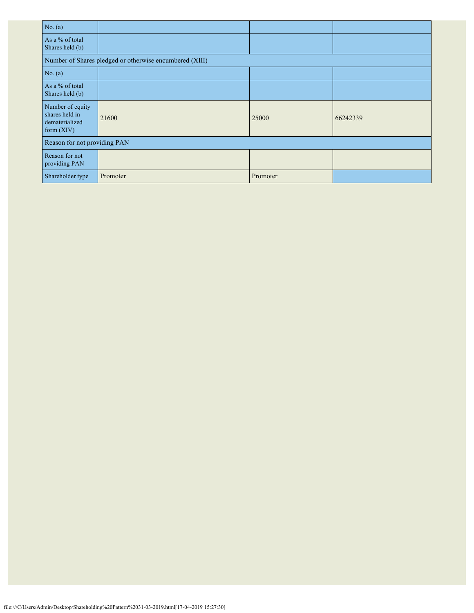| No. $(a)$                                                          |                                                         |          |          |
|--------------------------------------------------------------------|---------------------------------------------------------|----------|----------|
| As a % of total<br>Shares held (b)                                 |                                                         |          |          |
|                                                                    | Number of Shares pledged or otherwise encumbered (XIII) |          |          |
| No. (a)                                                            |                                                         |          |          |
| As a % of total<br>Shares held (b)                                 |                                                         |          |          |
| Number of equity<br>shares held in<br>dematerialized<br>form (XIV) | 21600                                                   | 25000    | 66242339 |
| Reason for not providing PAN                                       |                                                         |          |          |
| Reason for not<br>providing PAN                                    |                                                         |          |          |
| Shareholder type                                                   | Promoter                                                | Promoter |          |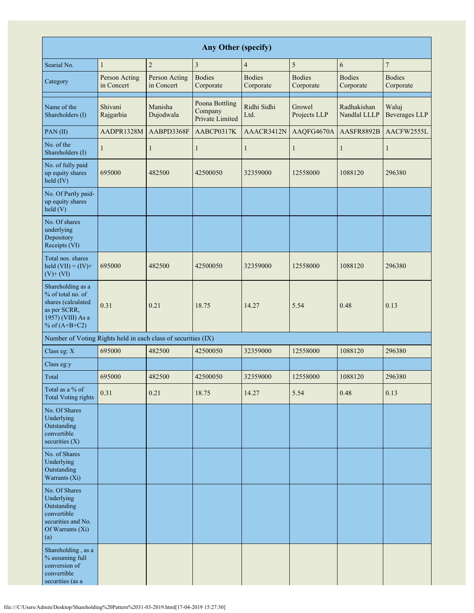| <b>Any Other (specify)</b>                                                                                           |                             |                             |                                              |                            |                            |                             |                               |  |  |  |  |
|----------------------------------------------------------------------------------------------------------------------|-----------------------------|-----------------------------|----------------------------------------------|----------------------------|----------------------------|-----------------------------|-------------------------------|--|--|--|--|
| Searial No.                                                                                                          | $\mathbf{1}$                | $\overline{c}$              | $\overline{3}$                               | $\overline{4}$             | 5                          | 6                           | $\boldsymbol{7}$              |  |  |  |  |
| Category                                                                                                             | Person Acting<br>in Concert | Person Acting<br>in Concert | <b>Bodies</b><br>Corporate                   | <b>Bodies</b><br>Corporate | <b>Bodies</b><br>Corporate | <b>Bodies</b><br>Corporate  | <b>Bodies</b><br>Corporate    |  |  |  |  |
| Name of the<br>Shareholders (I)                                                                                      | Shivani<br>Rajgarhia        | Manisha<br>Dujodwala        | Poona Bottling<br>Company<br>Private Limited | Ridhi Sidhi<br>Ltd.        | Growel<br>Projects LLP     | Radhakishan<br>Nandlal LLLP | Waluj<br><b>Beverages LLP</b> |  |  |  |  |
| PAN(II)                                                                                                              | AADPR1328M                  | AABPD3368F                  | AABCP0317K                                   | AAACR3412N                 | AAQFG4670A                 | AASFR8892B                  | AACFW2555L                    |  |  |  |  |
| No. of the<br>Shareholders (I)                                                                                       | 1                           | $\mathbf{1}$                | 1                                            | $\mathbf{1}$               | $\mathbf{1}$               | $\mathbf{1}$                | $\mathbf{1}$                  |  |  |  |  |
| No. of fully paid<br>up equity shares<br>held (IV)                                                                   | 695000                      | 482500                      | 42500050                                     | 32359000                   | 12558000                   | 1088120                     | 296380                        |  |  |  |  |
| No. Of Partly paid-<br>up equity shares<br>held (V)                                                                  |                             |                             |                                              |                            |                            |                             |                               |  |  |  |  |
| No. Of shares<br>underlying<br>Depository<br>Receipts (VI)                                                           |                             |                             |                                              |                            |                            |                             |                               |  |  |  |  |
| Total nos. shares<br>held $(VII) = (IV) +$<br>$(V)$ + $(VI)$                                                         | 695000                      | 482500                      | 42500050                                     | 32359000                   | 12558000                   | 1088120                     | 296380                        |  |  |  |  |
| Shareholding as a<br>% of total no. of<br>shares (calculated<br>as per SCRR,<br>1957) (VIII) As a<br>% of $(A+B+C2)$ | 0.31                        | 0.21                        | 18.75                                        | 14.27                      | 5.54                       | 0.48                        | 0.13                          |  |  |  |  |
| Number of Voting Rights held in each class of securities (IX)                                                        |                             |                             |                                              |                            |                            |                             |                               |  |  |  |  |
| Class eg: X                                                                                                          | 695000                      | 482500                      | 42500050                                     | 32359000                   | 12558000                   | 1088120                     | 296380                        |  |  |  |  |
| Class eg:y                                                                                                           |                             |                             |                                              |                            |                            |                             |                               |  |  |  |  |
| Total                                                                                                                | 695000                      | 482500                      | 42500050                                     | 32359000                   | 12558000                   | 1088120                     | 296380                        |  |  |  |  |
| Total as a % of<br><b>Total Voting rights</b>                                                                        | 0.31                        | 0.21                        | 18.75                                        | 14.27                      | 5.54                       | 0.48                        | 0.13                          |  |  |  |  |
| No. Of Shares<br>Underlying<br>Outstanding<br>convertible<br>securities $(X)$                                        |                             |                             |                                              |                            |                            |                             |                               |  |  |  |  |
| No. of Shares<br>Underlying<br>Outstanding<br>Warrants (Xi)                                                          |                             |                             |                                              |                            |                            |                             |                               |  |  |  |  |
| No. Of Shares<br>Underlying<br>Outstanding<br>convertible<br>securities and No.<br>Of Warrants (Xi)<br>(a)           |                             |                             |                                              |                            |                            |                             |                               |  |  |  |  |
| Shareholding, as a<br>% assuming full<br>conversion of<br>convertible<br>securities (as a                            |                             |                             |                                              |                            |                            |                             |                               |  |  |  |  |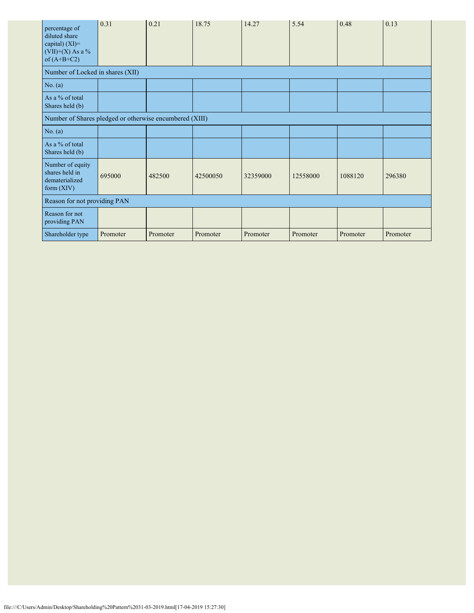| percentage of<br>diluted share<br>capital) $(XI)=$<br>(VII)+(X) As a %<br>of $(A+B+C2)$ | 0.31     | 0.21     | 18.75    | 14.27    | 5.54     | 0.48     | 0.13     |
|-----------------------------------------------------------------------------------------|----------|----------|----------|----------|----------|----------|----------|
| Number of Locked in shares (XII)                                                        |          |          |          |          |          |          |          |
| No. (a)                                                                                 |          |          |          |          |          |          |          |
| As a % of total<br>Shares held (b)                                                      |          |          |          |          |          |          |          |
| Number of Shares pledged or otherwise encumbered (XIII)                                 |          |          |          |          |          |          |          |
| No. $(a)$                                                                               |          |          |          |          |          |          |          |
| As a % of total<br>Shares held (b)                                                      |          |          |          |          |          |          |          |
| Number of equity<br>shares held in<br>dematerialized<br>form $(XIV)$                    | 695000   | 482500   | 42500050 | 32359000 | 12558000 | 1088120  | 296380   |
| Reason for not providing PAN                                                            |          |          |          |          |          |          |          |
| Reason for not<br>providing PAN                                                         |          |          |          |          |          |          |          |
| Shareholder type                                                                        | Promoter | Promoter | Promoter | Promoter | Promoter | Promoter | Promoter |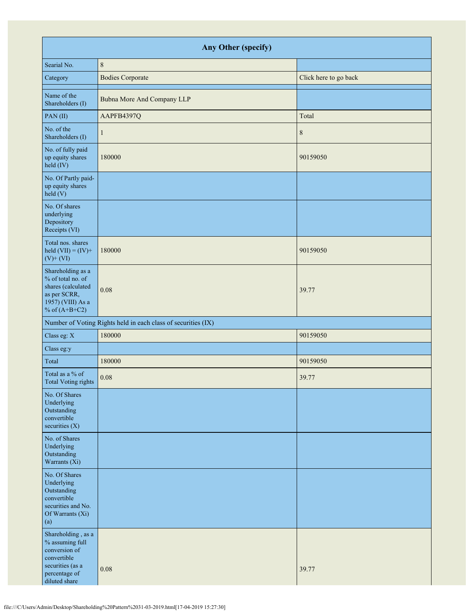| Any Other (specify)                                                                                                         |                                                               |                       |  |  |  |  |  |
|-----------------------------------------------------------------------------------------------------------------------------|---------------------------------------------------------------|-----------------------|--|--|--|--|--|
| Searial No.                                                                                                                 | $\,8\,$                                                       |                       |  |  |  |  |  |
| Category                                                                                                                    | <b>Bodies Corporate</b>                                       | Click here to go back |  |  |  |  |  |
| Name of the<br>Shareholders (I)                                                                                             | Bubna More And Company LLP                                    |                       |  |  |  |  |  |
| PAN(II)                                                                                                                     | AAPFB4397Q                                                    | Total                 |  |  |  |  |  |
| No. of the<br>Shareholders (I)                                                                                              | 1                                                             | $\,$ 8 $\,$           |  |  |  |  |  |
| No. of fully paid<br>up equity shares<br>held (IV)                                                                          | 180000                                                        | 90159050              |  |  |  |  |  |
| No. Of Partly paid-<br>up equity shares<br>held(V)                                                                          |                                                               |                       |  |  |  |  |  |
| No. Of shares<br>underlying<br>Depository<br>Receipts (VI)                                                                  |                                                               |                       |  |  |  |  |  |
| Total nos. shares<br>held $(VII) = (IV) +$<br>$(V)$ + $(VI)$                                                                | 180000                                                        | 90159050              |  |  |  |  |  |
| Shareholding as a<br>% of total no. of<br>shares (calculated<br>as per SCRR,<br>1957) (VIII) As a<br>% of $(A+B+C2)$        | 0.08                                                          | 39.77                 |  |  |  |  |  |
|                                                                                                                             | Number of Voting Rights held in each class of securities (IX) |                       |  |  |  |  |  |
| Class eg: X                                                                                                                 | 180000                                                        | 90159050              |  |  |  |  |  |
| Class eg:y                                                                                                                  |                                                               |                       |  |  |  |  |  |
| Total                                                                                                                       | 180000                                                        | 90159050              |  |  |  |  |  |
| Total as a % of<br>Total Voting rights                                                                                      | 0.08                                                          | 39.77                 |  |  |  |  |  |
| No. Of Shares<br>Underlying<br>Outstanding<br>convertible<br>securities $(X)$                                               |                                                               |                       |  |  |  |  |  |
| No. of Shares<br>Underlying<br>Outstanding<br>Warrants (Xi)                                                                 |                                                               |                       |  |  |  |  |  |
| No. Of Shares<br>Underlying<br>Outstanding<br>convertible<br>securities and No.<br>Of Warrants (Xi)<br>(a)                  |                                                               |                       |  |  |  |  |  |
| Shareholding, as a<br>% assuming full<br>conversion of<br>convertible<br>securities (as a<br>percentage of<br>diluted share | 0.08                                                          | 39.77                 |  |  |  |  |  |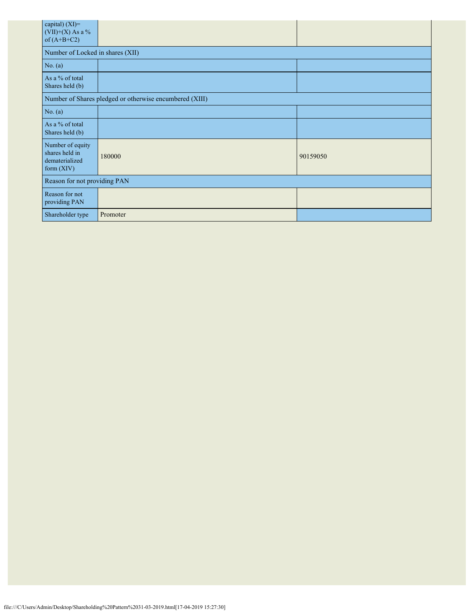| capital) (XI)=<br>$(VII)+(X)$ As a %<br>of $(A+B+C2)$              |          |          |  |  |  |  |  |  |
|--------------------------------------------------------------------|----------|----------|--|--|--|--|--|--|
| Number of Locked in shares (XII)                                   |          |          |  |  |  |  |  |  |
| No. $(a)$                                                          |          |          |  |  |  |  |  |  |
| As a % of total<br>Shares held (b)                                 |          |          |  |  |  |  |  |  |
| Number of Shares pledged or otherwise encumbered (XIII)            |          |          |  |  |  |  |  |  |
| No. (a)                                                            |          |          |  |  |  |  |  |  |
| As a % of total<br>Shares held (b)                                 |          |          |  |  |  |  |  |  |
| Number of equity<br>shares held in<br>dematerialized<br>form (XIV) | 180000   | 90159050 |  |  |  |  |  |  |
| Reason for not providing PAN                                       |          |          |  |  |  |  |  |  |
| Reason for not<br>providing PAN                                    |          |          |  |  |  |  |  |  |
| Shareholder type                                                   | Promoter |          |  |  |  |  |  |  |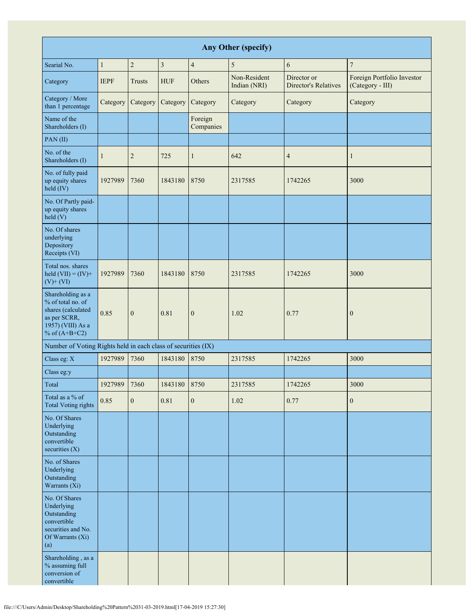| Any Other (specify)                                                                                                  |              |                |                         |                      |                              |                                            |                                                |
|----------------------------------------------------------------------------------------------------------------------|--------------|----------------|-------------------------|----------------------|------------------------------|--------------------------------------------|------------------------------------------------|
| Searial No.                                                                                                          | $\mathbf{1}$ | $\overline{c}$ | $\overline{\mathbf{3}}$ | $\overline{4}$       | 5                            | 6                                          | $\overline{7}$                                 |
| Category                                                                                                             | <b>IEPF</b>  | Trusts         | <b>HUF</b>              | Others               | Non-Resident<br>Indian (NRI) | Director or<br><b>Director's Relatives</b> | Foreign Portfolio Investor<br>(Category - III) |
| Category / More<br>than 1 percentage                                                                                 | Category     | Category       | Category                | Category             | Category                     | Category                                   | Category                                       |
| Name of the<br>Shareholders (I)                                                                                      |              |                |                         | Foreign<br>Companies |                              |                                            |                                                |
| PAN(II)                                                                                                              |              |                |                         |                      |                              |                                            |                                                |
| No. of the<br>Shareholders (I)                                                                                       | 1            | $\sqrt{2}$     | 725                     | $\mathbf{1}$         | 642                          | $\overline{4}$                             | 1                                              |
| No. of fully paid<br>up equity shares<br>held (IV)                                                                   | 1927989      | 7360           | 1843180                 | 8750                 | 2317585                      | 1742265                                    | 3000                                           |
| No. Of Partly paid-<br>up equity shares<br>$\text{held}$ (V)                                                         |              |                |                         |                      |                              |                                            |                                                |
| No. Of shares<br>underlying<br>Depository<br>Receipts (VI)                                                           |              |                |                         |                      |                              |                                            |                                                |
| Total nos. shares<br>held $(VII) = (IV) +$<br>$(V)$ + $(VI)$                                                         | 1927989      | 7360           | 1843180                 | 8750                 | 2317585                      | 1742265                                    | 3000                                           |
| Shareholding as a<br>% of total no. of<br>shares (calculated<br>as per SCRR,<br>1957) (VIII) As a<br>% of $(A+B+C2)$ | 0.85         | $\mathbf{0}$   | 0.81                    | $\mathbf{0}$         | 1.02                         | 0.77                                       | $\boldsymbol{0}$                               |
| Number of Voting Rights held in each class of securities (IX)                                                        |              |                |                         |                      |                              |                                            |                                                |
| Class eg: X                                                                                                          | 1927989      | 7360           | 1843180                 | 8750                 | 2317585                      | 1742265                                    | 3000                                           |
| Class eg:y                                                                                                           |              |                |                         |                      |                              |                                            |                                                |
| Total                                                                                                                | 1927989      | 7360           | 1843180                 | 8750                 | 2317585                      | 1742265                                    | 3000                                           |
| Total as a % of<br><b>Total Voting rights</b>                                                                        | 0.85         | $\mathbf{0}$   | 0.81                    | $\mathbf{0}$         | 1.02                         | 0.77                                       | $\mathbf{0}$                                   |
| No. Of Shares<br>Underlying<br>Outstanding<br>convertible<br>securities $(X)$                                        |              |                |                         |                      |                              |                                            |                                                |
| No. of Shares<br>Underlying<br>Outstanding<br>Warrants (Xi)                                                          |              |                |                         |                      |                              |                                            |                                                |
| No. Of Shares<br>Underlying<br>Outstanding<br>convertible<br>securities and No.<br>Of Warrants (Xi)<br>(a)           |              |                |                         |                      |                              |                                            |                                                |
| Shareholding, as a<br>% assuming full<br>conversion of<br>convertible                                                |              |                |                         |                      |                              |                                            |                                                |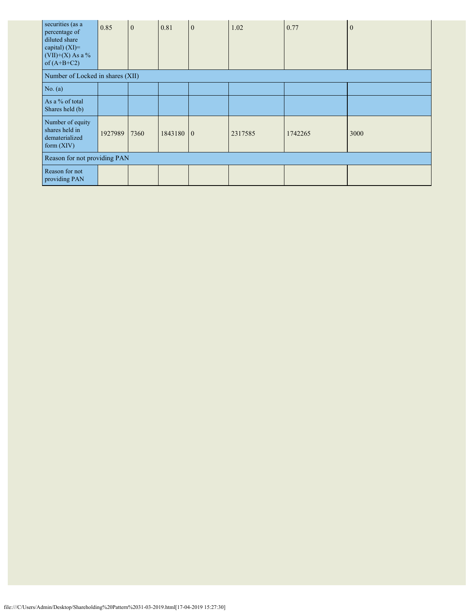| securities (as a<br>percentage of<br>diluted share<br>capital) $(XI)=$<br>$(VII)+(X)$ As a %<br>of $(A+B+C2)$ | 0.85    | $\mathbf{0}$ | 0.81      | $\mathbf{0}$ | 1.02    | 0.77    | $\Omega$ |
|---------------------------------------------------------------------------------------------------------------|---------|--------------|-----------|--------------|---------|---------|----------|
| Number of Locked in shares (XII)                                                                              |         |              |           |              |         |         |          |
| No. $(a)$                                                                                                     |         |              |           |              |         |         |          |
| As a % of total<br>Shares held (b)                                                                            |         |              |           |              |         |         |          |
| Number of equity<br>shares held in<br>dematerialized<br>form $(XIV)$                                          | 1927989 | 7360         | 1843180 0 |              | 2317585 | 1742265 | 3000     |
| Reason for not providing PAN                                                                                  |         |              |           |              |         |         |          |
| Reason for not<br>providing PAN                                                                               |         |              |           |              |         |         |          |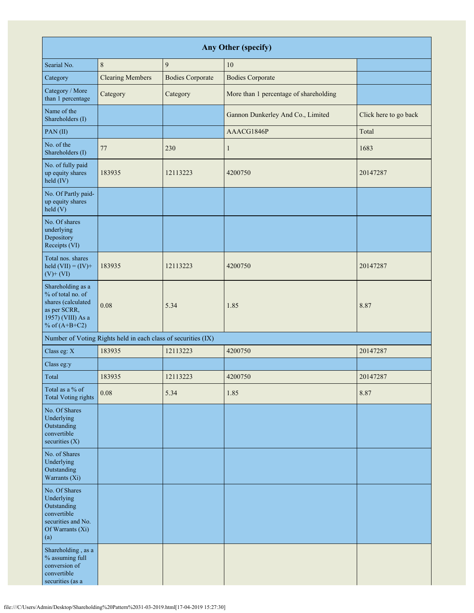| <b>Any Other (specify)</b>                                                                                           |                                                               |                         |                                        |                       |  |  |  |  |
|----------------------------------------------------------------------------------------------------------------------|---------------------------------------------------------------|-------------------------|----------------------------------------|-----------------------|--|--|--|--|
| Searial No.                                                                                                          | $\,8\,$                                                       | 9                       | $10\,$                                 |                       |  |  |  |  |
| Category                                                                                                             | <b>Clearing Members</b>                                       | <b>Bodies Corporate</b> | <b>Bodies Corporate</b>                |                       |  |  |  |  |
| Category / More<br>than 1 percentage                                                                                 | Category                                                      | Category                | More than 1 percentage of shareholding |                       |  |  |  |  |
| Name of the<br>Shareholders (I)                                                                                      |                                                               |                         | Gannon Dunkerley And Co., Limited      | Click here to go back |  |  |  |  |
| PAN(II)                                                                                                              |                                                               |                         | AAACG1846P                             | Total                 |  |  |  |  |
| No. of the<br>Shareholders (I)                                                                                       | 77                                                            | 230                     | $\mathbf{1}$                           | 1683                  |  |  |  |  |
| No. of fully paid<br>up equity shares<br>held (IV)                                                                   | 183935                                                        | 12113223                | 4200750                                | 20147287              |  |  |  |  |
| No. Of Partly paid-<br>up equity shares<br>held(V)                                                                   |                                                               |                         |                                        |                       |  |  |  |  |
| No. Of shares<br>underlying<br>Depository<br>Receipts (VI)                                                           |                                                               |                         |                                        |                       |  |  |  |  |
| Total nos. shares<br>held $(VII) = (IV) +$<br>$(V)$ + $(VI)$                                                         | 183935                                                        | 12113223                | 4200750                                | 20147287              |  |  |  |  |
| Shareholding as a<br>% of total no. of<br>shares (calculated<br>as per SCRR,<br>1957) (VIII) As a<br>% of $(A+B+C2)$ | 0.08                                                          | 5.34                    | 1.85                                   | 8.87                  |  |  |  |  |
|                                                                                                                      | Number of Voting Rights held in each class of securities (IX) |                         |                                        |                       |  |  |  |  |
| Class eg: X                                                                                                          | 183935                                                        | 12113223                | 4200750                                | 20147287              |  |  |  |  |
| Class eg:y                                                                                                           |                                                               |                         |                                        |                       |  |  |  |  |
| Total                                                                                                                | 183935                                                        | 12113223                | 4200750                                | 20147287              |  |  |  |  |
| Total as a % of<br><b>Total Voting rights</b>                                                                        | $0.08\,$                                                      | 5.34                    | 1.85                                   | 8.87                  |  |  |  |  |
| No. Of Shares<br>Underlying<br>Outstanding<br>convertible<br>securities $(X)$                                        |                                                               |                         |                                        |                       |  |  |  |  |
| No. of Shares<br>Underlying<br>Outstanding<br>Warrants (Xi)                                                          |                                                               |                         |                                        |                       |  |  |  |  |
| No. Of Shares<br>Underlying<br>Outstanding<br>convertible<br>securities and No.<br>Of Warrants (Xi)<br>(a)           |                                                               |                         |                                        |                       |  |  |  |  |
| Shareholding, as a<br>% assuming full<br>conversion of<br>convertible<br>securities (as a                            |                                                               |                         |                                        |                       |  |  |  |  |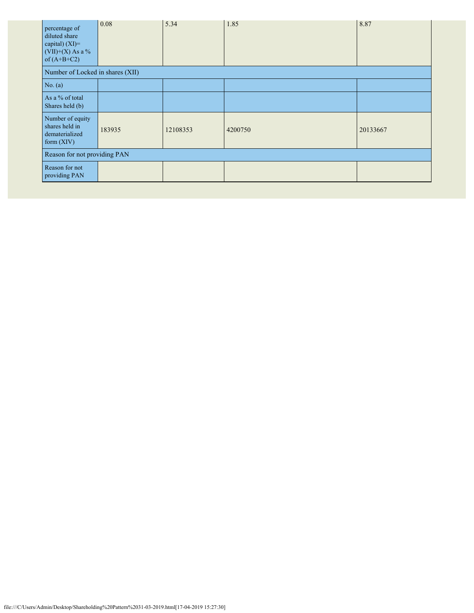| percentage of<br>diluted share<br>capital) (XI)=<br>$(VII)+(X)$ As a %<br>of $(A+B+C2)$ | 0.08   | 5.34     | 1.85    | 8.87     |  |  |
|-----------------------------------------------------------------------------------------|--------|----------|---------|----------|--|--|
| Number of Locked in shares (XII)                                                        |        |          |         |          |  |  |
| No. (a)                                                                                 |        |          |         |          |  |  |
| As a % of total<br>Shares held (b)                                                      |        |          |         |          |  |  |
| Number of equity<br>shares held in<br>dematerialized<br>form $(XIV)$                    | 183935 | 12108353 | 4200750 | 20133667 |  |  |
| Reason for not providing PAN                                                            |        |          |         |          |  |  |
| Reason for not<br>providing PAN                                                         |        |          |         |          |  |  |